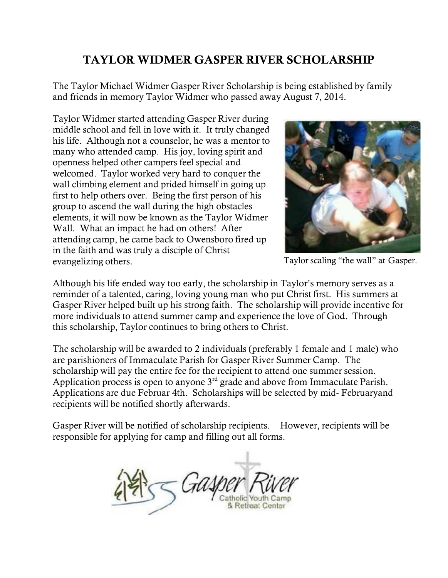## TAYLOR WIDMER GASPER RIVER SCHOLARSHIP

The Taylor Michael Widmer Gasper River Scholarship is being established by family and friends in memory Taylor Widmer who passed away August 7, 2014.

Taylor Widmer started attending Gasper River during middle school and fell in love with it. It truly changed his life. Although not a counselor, he was a mentor to many who attended camp. His joy, loving spirit and openness helped other campers feel special and welcomed. Taylor worked very hard to conquer the wall climbing element and prided himself in going up first to help others over. Being the first person of his group to ascend the wall during the high obstacles elements, it will now be known as the Taylor Widmer Wall. What an impact he had on others! After attending camp, he came back to Owensboro fired up in the faith and was truly a disciple of Christ evangelizing others. Taylor scaling "the wall" at Gasper.



Although his life ended way too early, the scholarship in Taylor's memory serves as a reminder of a talented, caring, loving young man who put Christ first. His summers at Gasper River helped built up his strong faith. The scholarship will provide incentive for more individuals to attend summer camp and experience the love of God. Through this scholarship, Taylor continues to bring others to Christ.

The scholarship will be awarded to 2 individuals (preferably 1 female and 1 male) who are parishioners of Immaculate Parish for Gasper River Summer Camp. The scholarship will pay the entire fee for the recipient to attend one summer session. Application process is open to anyone  $3<sup>rd</sup>$  grade and above from Immaculate Parish. Applications are due Februar 4th. Scholarships will be selected by mid- Februaryand recipients will be notified shortly afterwards.

Gasper River will be notified of scholarship recipients. However, recipients will be responsible for applying for camp and filling out all forms.

**Retireat Center**